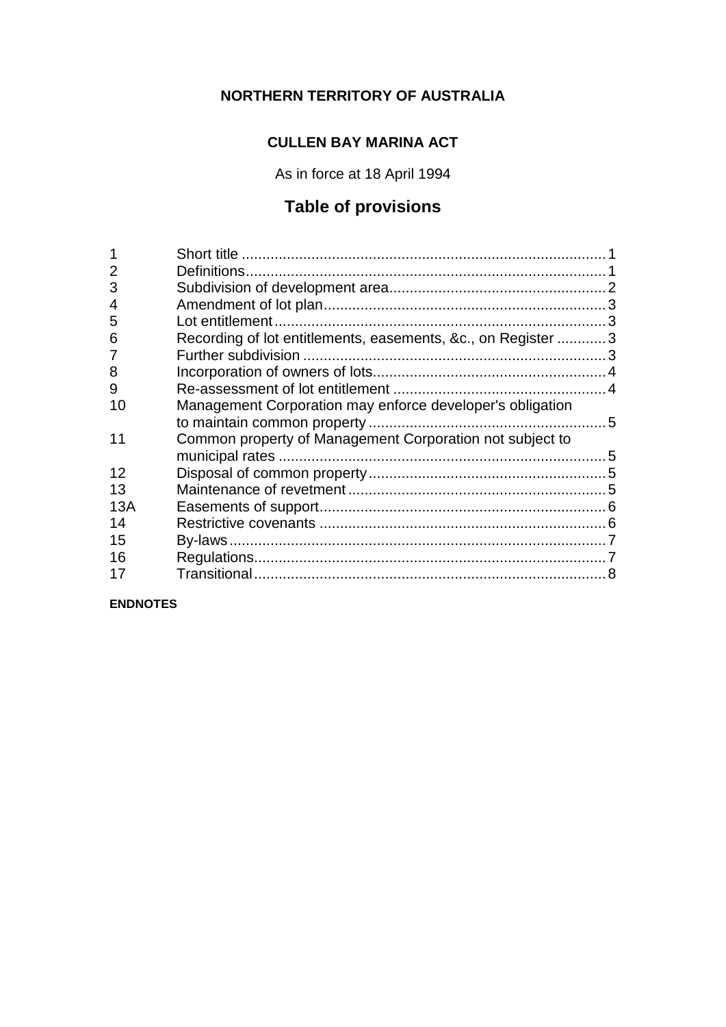## **NORTHERN TERRITORY OF AUSTRALIA**

## **CULLEN BAY MARINA ACT**

As in force at 18 April 1994

# **Table of provisions**

| 2   |                                                               |  |
|-----|---------------------------------------------------------------|--|
| 3   |                                                               |  |
| 4   |                                                               |  |
| 5   |                                                               |  |
| 6   | Recording of lot entitlements, easements, &c., on Register  3 |  |
| 7   |                                                               |  |
| 8   |                                                               |  |
| 9   |                                                               |  |
| 10  | Management Corporation may enforce developer's obligation     |  |
|     |                                                               |  |
| 11  | Common property of Management Corporation not subject to      |  |
|     |                                                               |  |
| 12  |                                                               |  |
| 13  |                                                               |  |
| 13A |                                                               |  |
| 14  |                                                               |  |
| 15  |                                                               |  |
| 16  |                                                               |  |
| 17  |                                                               |  |
|     |                                                               |  |

**ENDNOTES**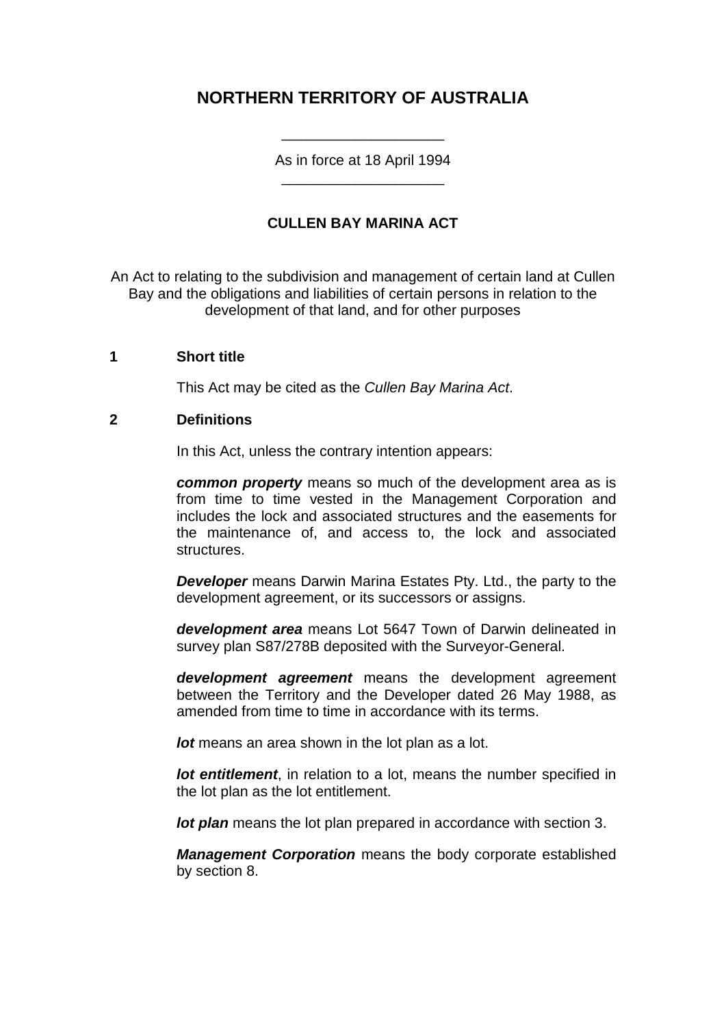## **NORTHERN TERRITORY OF AUSTRALIA**

As in force at 18 April 1994 \_\_\_\_\_\_\_\_\_\_\_\_\_\_\_\_\_\_\_\_

\_\_\_\_\_\_\_\_\_\_\_\_\_\_\_\_\_\_\_\_

### **CULLEN BAY MARINA ACT**

An Act to relating to the subdivision and management of certain land at Cullen Bay and the obligations and liabilities of certain persons in relation to the development of that land, and for other purposes

#### **1 Short title**

This Act may be cited as the *Cullen Bay Marina Act*.

#### **2 Definitions**

In this Act, unless the contrary intention appears:

*common property* means so much of the development area as is from time to time vested in the Management Corporation and includes the lock and associated structures and the easements for the maintenance of, and access to, the lock and associated structures.

*Developer* means Darwin Marina Estates Pty. Ltd., the party to the development agreement, or its successors or assigns.

*development area* means Lot 5647 Town of Darwin delineated in survey plan S87/278B deposited with the Surveyor-General.

*development agreement* means the development agreement between the Territory and the Developer dated 26 May 1988, as amended from time to time in accordance with its terms.

*lot* means an area shown in the lot plan as a lot.

*lot entitlement*, in relation to a lot, means the number specified in the lot plan as the lot entitlement.

*lot plan* means the lot plan prepared in accordance with section 3.

*Management Corporation* means the body corporate established by section 8.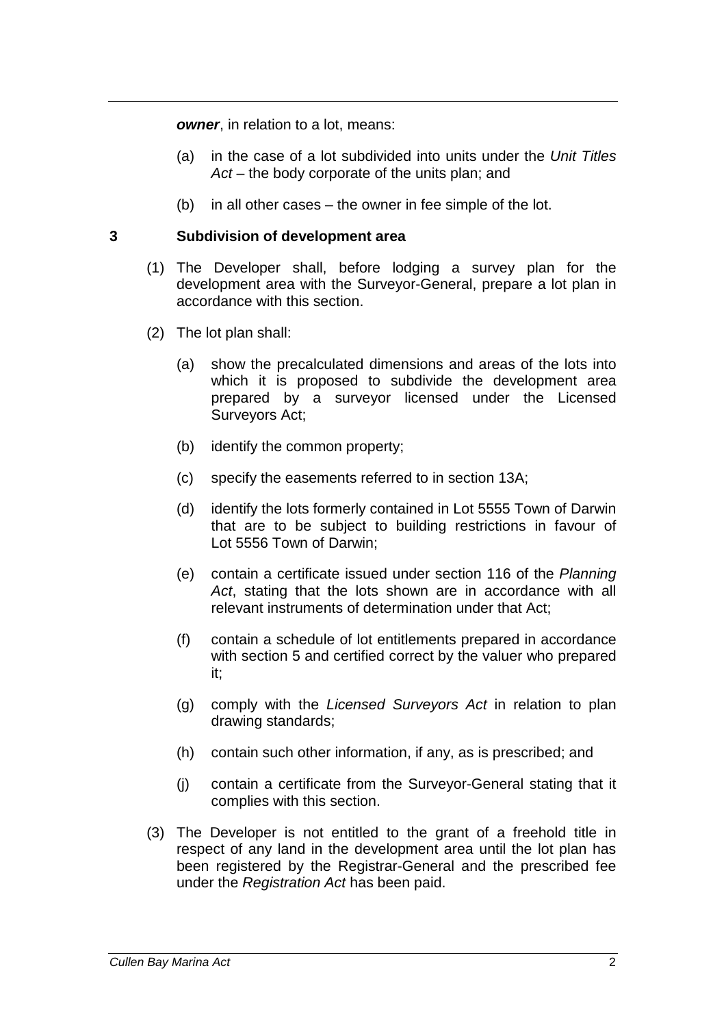*owner*, in relation to a lot, means:

- (a) in the case of a lot subdivided into units under the *Unit Titles Act* – the body corporate of the units plan; and
- (b) in all other cases the owner in fee simple of the lot.

#### **3 Subdivision of development area**

- (1) The Developer shall, before lodging a survey plan for the development area with the Surveyor-General, prepare a lot plan in accordance with this section.
- (2) The lot plan shall:
	- (a) show the precalculated dimensions and areas of the lots into which it is proposed to subdivide the development area prepared by a surveyor licensed under the Licensed Surveyors Act;
	- (b) identify the common property;
	- (c) specify the easements referred to in section 13A;
	- (d) identify the lots formerly contained in Lot 5555 Town of Darwin that are to be subject to building restrictions in favour of Lot 5556 Town of Darwin;
	- (e) contain a certificate issued under section 116 of the *Planning Act*, stating that the lots shown are in accordance with all relevant instruments of determination under that Act;
	- (f) contain a schedule of lot entitlements prepared in accordance with section 5 and certified correct by the valuer who prepared it;
	- (g) comply with the *Licensed Surveyors Act* in relation to plan drawing standards;
	- (h) contain such other information, if any, as is prescribed; and
	- (j) contain a certificate from the Surveyor-General stating that it complies with this section.
- (3) The Developer is not entitled to the grant of a freehold title in respect of any land in the development area until the lot plan has been registered by the Registrar-General and the prescribed fee under the *Registration Act* has been paid.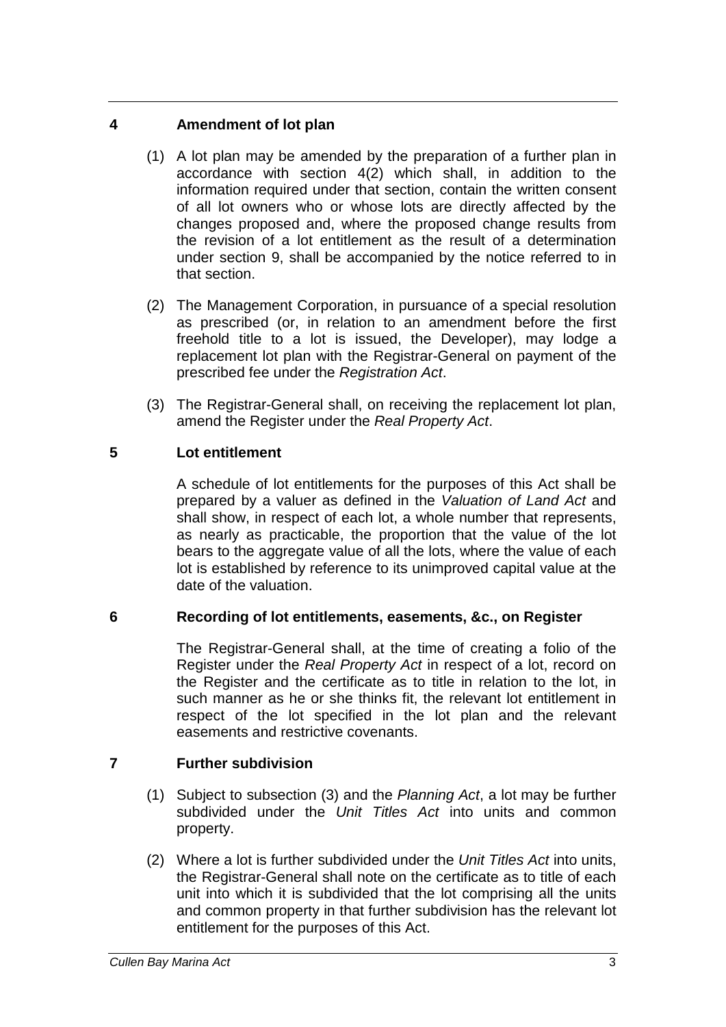## **4 Amendment of lot plan**

- (1) A lot plan may be amended by the preparation of a further plan in accordance with section 4(2) which shall, in addition to the information required under that section, contain the written consent of all lot owners who or whose lots are directly affected by the changes proposed and, where the proposed change results from the revision of a lot entitlement as the result of a determination under section 9, shall be accompanied by the notice referred to in that section.
- (2) The Management Corporation, in pursuance of a special resolution as prescribed (or, in relation to an amendment before the first freehold title to a lot is issued, the Developer), may lodge a replacement lot plan with the Registrar-General on payment of the prescribed fee under the *Registration Act*.
- (3) The Registrar-General shall, on receiving the replacement lot plan, amend the Register under the *Real Property Act*.

## **5 Lot entitlement**

A schedule of lot entitlements for the purposes of this Act shall be prepared by a valuer as defined in the *Valuation of Land Act* and shall show, in respect of each lot, a whole number that represents, as nearly as practicable, the proportion that the value of the lot bears to the aggregate value of all the lots, where the value of each lot is established by reference to its unimproved capital value at the date of the valuation.

### **6 Recording of lot entitlements, easements, &c., on Register**

The Registrar-General shall, at the time of creating a folio of the Register under the *Real Property Act* in respect of a lot, record on the Register and the certificate as to title in relation to the lot, in such manner as he or she thinks fit, the relevant lot entitlement in respect of the lot specified in the lot plan and the relevant easements and restrictive covenants.

## **7 Further subdivision**

- (1) Subject to subsection (3) and the *Planning Act*, a lot may be further subdivided under the *Unit Titles Act* into units and common property.
- (2) Where a lot is further subdivided under the *Unit Titles Act* into units, the Registrar-General shall note on the certificate as to title of each unit into which it is subdivided that the lot comprising all the units and common property in that further subdivision has the relevant lot entitlement for the purposes of this Act.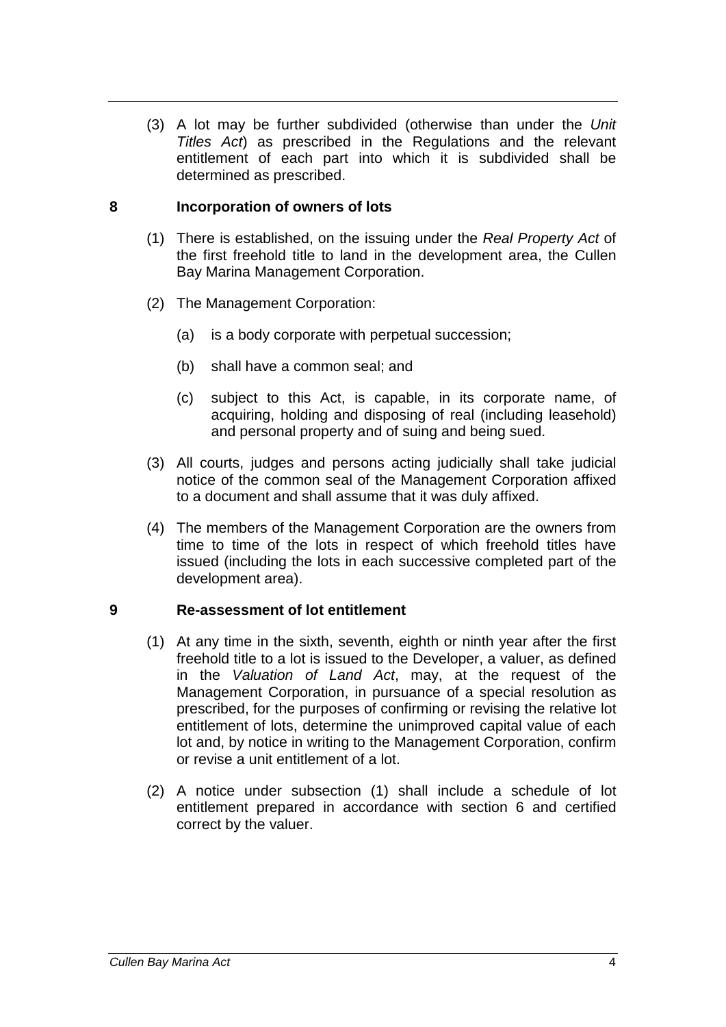(3) A lot may be further subdivided (otherwise than under the *Unit Titles Act*) as prescribed in the Regulations and the relevant entitlement of each part into which it is subdivided shall be determined as prescribed.

#### **8 Incorporation of owners of lots**

- (1) There is established, on the issuing under the *Real Property Act* of the first freehold title to land in the development area, the Cullen Bay Marina Management Corporation.
- (2) The Management Corporation:
	- (a) is a body corporate with perpetual succession;
	- (b) shall have a common seal; and
	- (c) subject to this Act, is capable, in its corporate name, of acquiring, holding and disposing of real (including leasehold) and personal property and of suing and being sued.
- (3) All courts, judges and persons acting judicially shall take judicial notice of the common seal of the Management Corporation affixed to a document and shall assume that it was duly affixed.
- (4) The members of the Management Corporation are the owners from time to time of the lots in respect of which freehold titles have issued (including the lots in each successive completed part of the development area).

### **9 Re-assessment of lot entitlement**

- (1) At any time in the sixth, seventh, eighth or ninth year after the first freehold title to a lot is issued to the Developer, a valuer, as defined in the *Valuation of Land Act*, may, at the request of the Management Corporation, in pursuance of a special resolution as prescribed, for the purposes of confirming or revising the relative lot entitlement of lots, determine the unimproved capital value of each lot and, by notice in writing to the Management Corporation, confirm or revise a unit entitlement of a lot.
- (2) A notice under subsection (1) shall include a schedule of lot entitlement prepared in accordance with section 6 and certified correct by the valuer.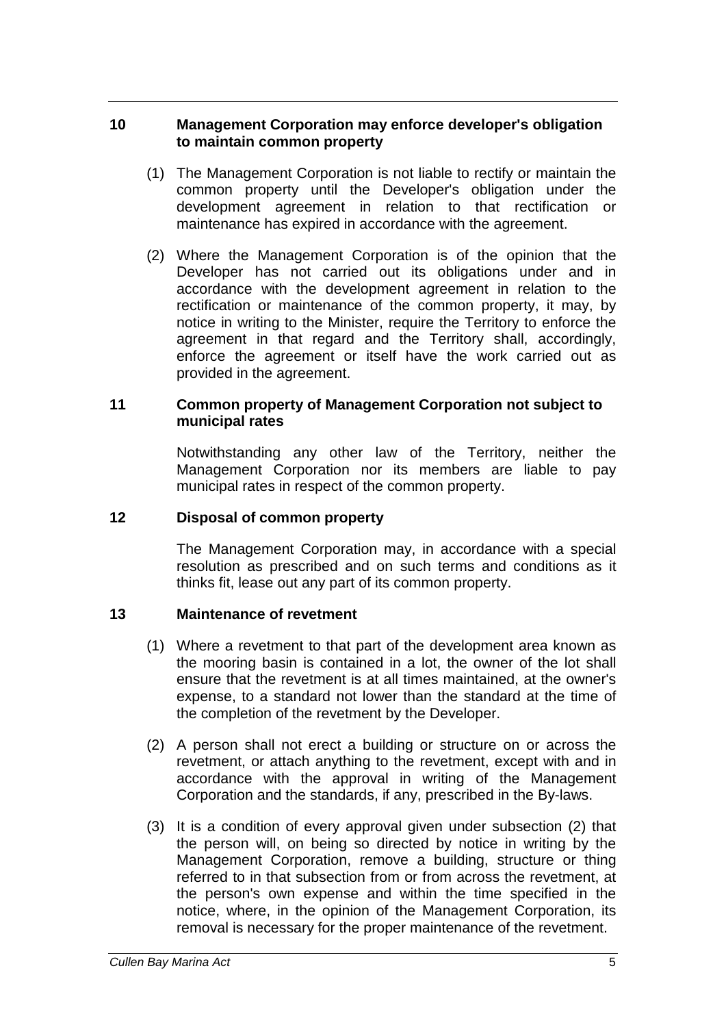#### **10 Management Corporation may enforce developer's obligation to maintain common property**

- (1) The Management Corporation is not liable to rectify or maintain the common property until the Developer's obligation under the development agreement in relation to that rectification or maintenance has expired in accordance with the agreement.
- (2) Where the Management Corporation is of the opinion that the Developer has not carried out its obligations under and in accordance with the development agreement in relation to the rectification or maintenance of the common property, it may, by notice in writing to the Minister, require the Territory to enforce the agreement in that regard and the Territory shall, accordingly, enforce the agreement or itself have the work carried out as provided in the agreement.

#### **11 Common property of Management Corporation not subject to municipal rates**

Notwithstanding any other law of the Territory, neither the Management Corporation nor its members are liable to pay municipal rates in respect of the common property.

#### **12 Disposal of common property**

The Management Corporation may, in accordance with a special resolution as prescribed and on such terms and conditions as it thinks fit, lease out any part of its common property.

### **13 Maintenance of revetment**

- (1) Where a revetment to that part of the development area known as the mooring basin is contained in a lot, the owner of the lot shall ensure that the revetment is at all times maintained, at the owner's expense, to a standard not lower than the standard at the time of the completion of the revetment by the Developer.
- (2) A person shall not erect a building or structure on or across the revetment, or attach anything to the revetment, except with and in accordance with the approval in writing of the Management Corporation and the standards, if any, prescribed in the By-laws.
- (3) It is a condition of every approval given under subsection (2) that the person will, on being so directed by notice in writing by the Management Corporation, remove a building, structure or thing referred to in that subsection from or from across the revetment, at the person's own expense and within the time specified in the notice, where, in the opinion of the Management Corporation, its removal is necessary for the proper maintenance of the revetment.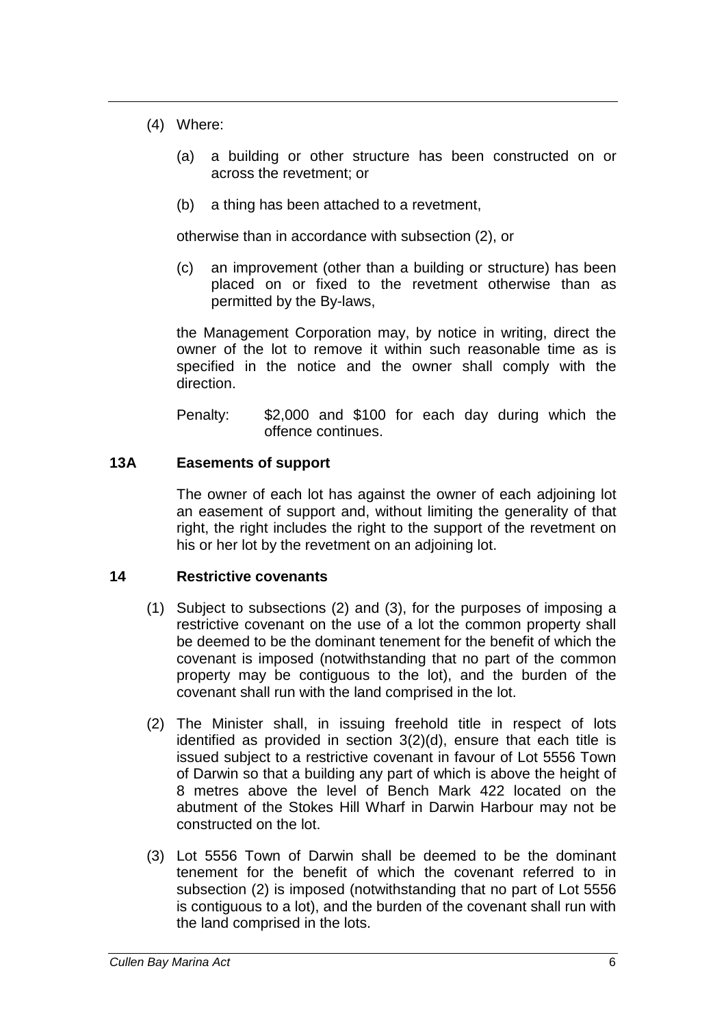- (4) Where:
	- (a) a building or other structure has been constructed on or across the revetment; or
	- (b) a thing has been attached to a revetment,

otherwise than in accordance with subsection (2), or

(c) an improvement (other than a building or structure) has been placed on or fixed to the revetment otherwise than as permitted by the By-laws,

the Management Corporation may, by notice in writing, direct the owner of the lot to remove it within such reasonable time as is specified in the notice and the owner shall comply with the direction.

Penalty: \$2,000 and \$100 for each day during which the offence continues.

#### **13A Easements of support**

The owner of each lot has against the owner of each adjoining lot an easement of support and, without limiting the generality of that right, the right includes the right to the support of the revetment on his or her lot by the revetment on an adjoining lot.

#### **14 Restrictive covenants**

- (1) Subject to subsections (2) and (3), for the purposes of imposing a restrictive covenant on the use of a lot the common property shall be deemed to be the dominant tenement for the benefit of which the covenant is imposed (notwithstanding that no part of the common property may be contiguous to the lot), and the burden of the covenant shall run with the land comprised in the lot.
- (2) The Minister shall, in issuing freehold title in respect of lots identified as provided in section 3(2)(d), ensure that each title is issued subject to a restrictive covenant in favour of Lot 5556 Town of Darwin so that a building any part of which is above the height of 8 metres above the level of Bench Mark 422 located on the abutment of the Stokes Hill Wharf in Darwin Harbour may not be constructed on the lot.
- (3) Lot 5556 Town of Darwin shall be deemed to be the dominant tenement for the benefit of which the covenant referred to in subsection (2) is imposed (notwithstanding that no part of Lot 5556 is contiguous to a lot), and the burden of the covenant shall run with the land comprised in the lots.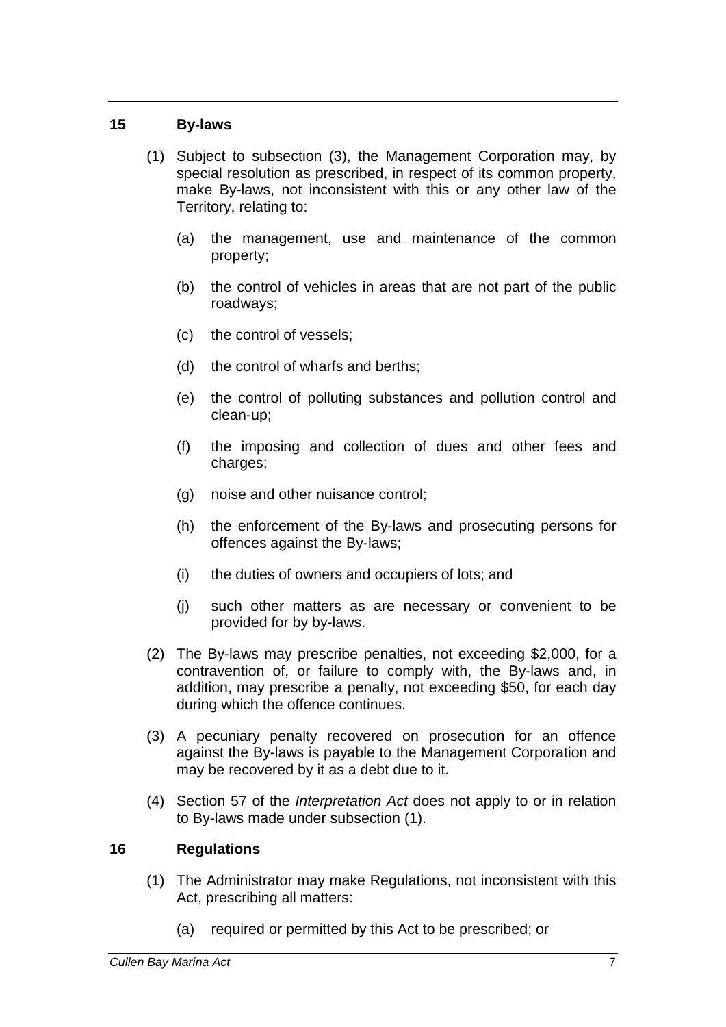#### **15 By-laws**

- (1) Subject to subsection (3), the Management Corporation may, by special resolution as prescribed, in respect of its common property, make By-laws, not inconsistent with this or any other law of the Territory, relating to:
	- (a) the management, use and maintenance of the common property;
	- (b) the control of vehicles in areas that are not part of the public roadways;
	- (c) the control of vessels;
	- (d) the control of wharfs and berths;
	- (e) the control of polluting substances and pollution control and clean-up;
	- (f) the imposing and collection of dues and other fees and charges;
	- (g) noise and other nuisance control;
	- (h) the enforcement of the By-laws and prosecuting persons for offences against the By-laws;
	- (i) the duties of owners and occupiers of lots; and
	- (j) such other matters as are necessary or convenient to be provided for by by-laws.
- (2) The By-laws may prescribe penalties, not exceeding \$2,000, for a contravention of, or failure to comply with, the By-laws and, in addition, may prescribe a penalty, not exceeding \$50, for each day during which the offence continues.
- (3) A pecuniary penalty recovered on prosecution for an offence against the By-laws is payable to the Management Corporation and may be recovered by it as a debt due to it.
- (4) Section 57 of the *Interpretation Act* does not apply to or in relation to By-laws made under subsection (1).

### **16 Regulations**

- (1) The Administrator may make Regulations, not inconsistent with this Act, prescribing all matters:
	- (a) required or permitted by this Act to be prescribed; or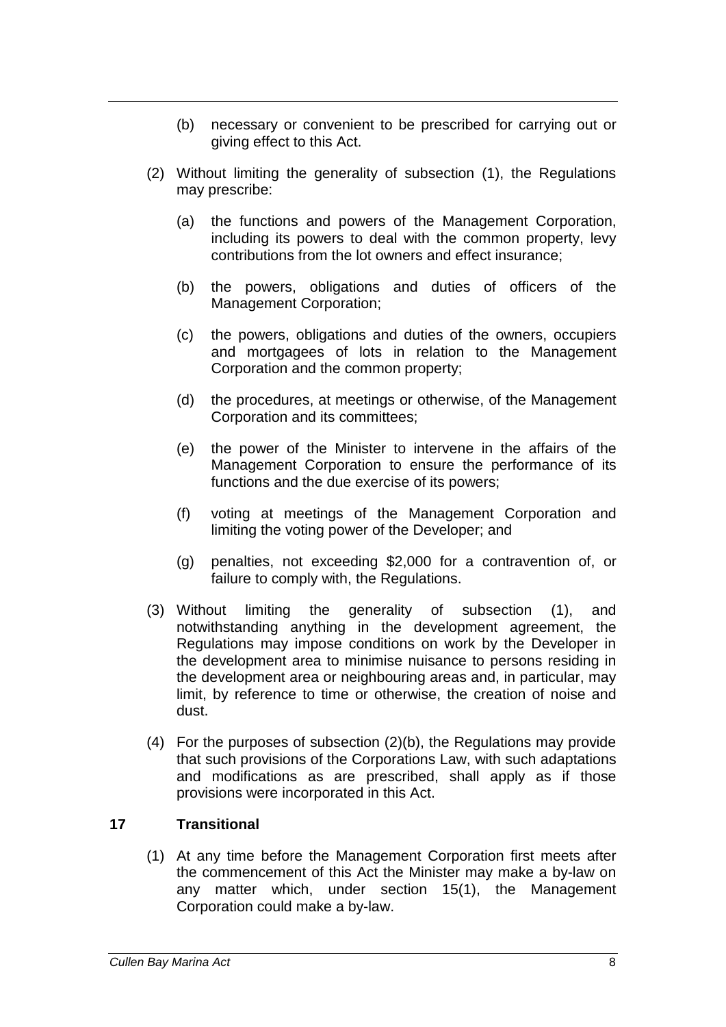- (b) necessary or convenient to be prescribed for carrying out or giving effect to this Act.
- (2) Without limiting the generality of subsection (1), the Regulations may prescribe:
	- (a) the functions and powers of the Management Corporation, including its powers to deal with the common property, levy contributions from the lot owners and effect insurance;
	- (b) the powers, obligations and duties of officers of the Management Corporation;
	- (c) the powers, obligations and duties of the owners, occupiers and mortgagees of lots in relation to the Management Corporation and the common property;
	- (d) the procedures, at meetings or otherwise, of the Management Corporation and its committees;
	- (e) the power of the Minister to intervene in the affairs of the Management Corporation to ensure the performance of its functions and the due exercise of its powers;
	- (f) voting at meetings of the Management Corporation and limiting the voting power of the Developer; and
	- (g) penalties, not exceeding \$2,000 for a contravention of, or failure to comply with, the Regulations.
- (3) Without limiting the generality of subsection (1), and notwithstanding anything in the development agreement, the Regulations may impose conditions on work by the Developer in the development area to minimise nuisance to persons residing in the development area or neighbouring areas and, in particular, may limit, by reference to time or otherwise, the creation of noise and dust.
- (4) For the purposes of subsection (2)(b), the Regulations may provide that such provisions of the Corporations Law, with such adaptations and modifications as are prescribed, shall apply as if those provisions were incorporated in this Act.

### **17 Transitional**

(1) At any time before the Management Corporation first meets after the commencement of this Act the Minister may make a by-law on any matter which, under section 15(1), the Management Corporation could make a by-law.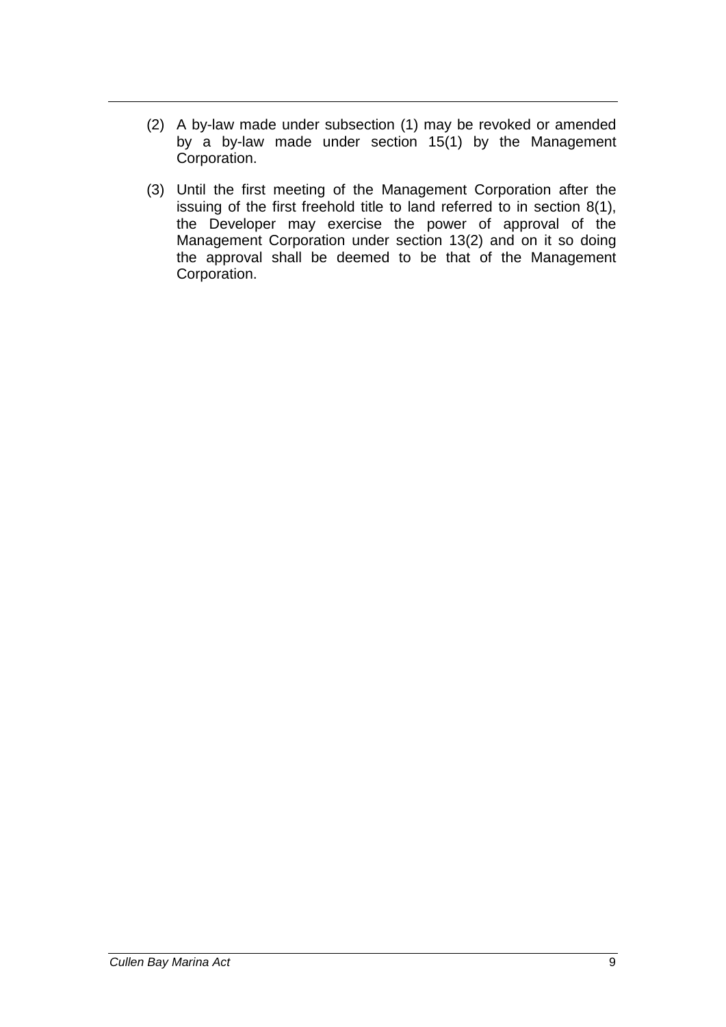- (2) A by-law made under subsection (1) may be revoked or amended by a by-law made under section 15(1) by the Management Corporation.
- (3) Until the first meeting of the Management Corporation after the issuing of the first freehold title to land referred to in section 8(1), the Developer may exercise the power of approval of the Management Corporation under section 13(2) and on it so doing the approval shall be deemed to be that of the Management Corporation.